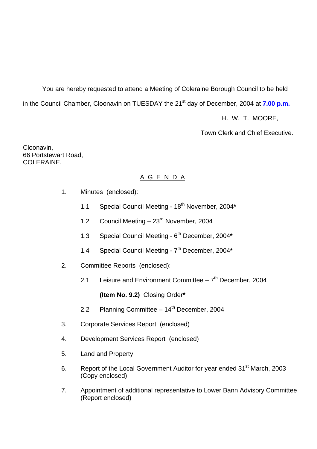You are hereby requested to attend a Meeting of Coleraine Borough Council to be held in the Council Chamber, Cloonavin on TUESDAY the 21<sup>st</sup> day of December, 2004 at **7.00 p.m.** 

H. W. T. MOORE,

**Town Clerk and Chief Executive.** 

Cloonavin, 66 Portstewart Road, COLERAINE.

# A G E N D A

- 1. Minutes (enclosed):
	- 1.1 Special Council Meeting 18th November, 2004**\***
	- 1.2 Council Meeting 23<sup>rd</sup> November, 2004
	- 1.3 Special Council Meeting 6th December, 2004**\***
	- 1.4 Special Council Meeting 7<sup>th</sup> December, 2004\*
- 2. Committee Reports (enclosed):
	- 2.1 Leisure and Environment Committee  $-7<sup>th</sup>$  December, 2004

**(Item No. 9.2)** Closing Order**\*** 

- 2.2 Planning Committee  $-14<sup>th</sup>$  December, 2004
- 3. Corporate Services Report (enclosed)
- 4. Development Services Report (enclosed)
- 5. Land and Property
- 6. Report of the Local Government Auditor for year ended 31<sup>st</sup> March, 2003 (Copy enclosed)
- 7. Appointment of additional representative to Lower Bann Advisory Committee (Report enclosed)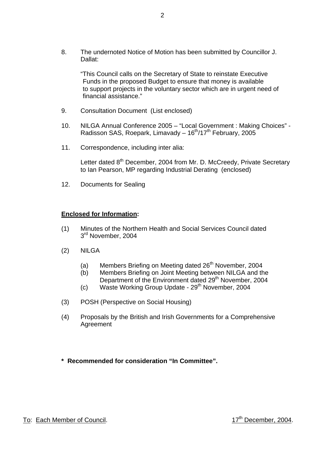8. The undernoted Notice of Motion has been submitted by Councillor J. Dallat:

 "This Council calls on the Secretary of State to reinstate Executive Funds in the proposed Budget to ensure that money is available to support projects in the voluntary sector which are in urgent need of financial assistance."

- 9. Consultation Document (List enclosed)
- 10. NILGA Annual Conference 2005 "Local Government : Making Choices" Radisson SAS, Roepark, Limavady -  $16<sup>th</sup>/17<sup>th</sup>$  February, 2005
- 11. Correspondence, including inter alia:

Letter dated 8<sup>th</sup> December, 2004 from Mr. D. McCreedy, Private Secretary to Ian Pearson, MP regarding Industrial Derating (enclosed)

12. Documents for Sealing

## **Enclosed for Information:**

- (1) Minutes of the Northern Health and Social Services Council dated 3<sup>rd</sup> November, 2004
- (2) NILGA
	- (a) Members Briefing on Meeting dated  $26<sup>th</sup>$  November, 2004
	- (b) Members Briefing on Joint Meeting between NILGA and the Department of the Environment dated 29<sup>th</sup> November, 2004
	- (c) Waste Working Group Update  $29<sup>th</sup>$  November, 2004
- (3) POSH (Perspective on Social Housing)
- (4) Proposals by the British and Irish Governments for a Comprehensive **Agreement**
- **\* Recommended for consideration "In Committee".**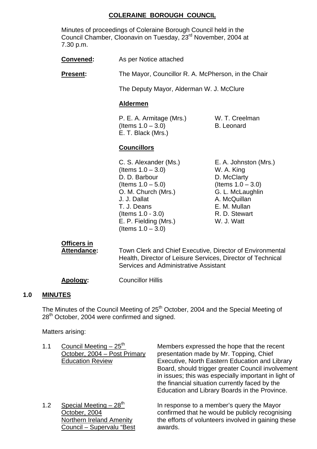## **COLERAINE BOROUGH COUNCIL**

Minutes of proceedings of Coleraine Borough Council held in the Council Chamber, Cloonavin on Tuesday, 23<sup>rd</sup> November, 2004 at 7.30 p.m.

**Convened:** As per Notice attached

**Present:** The Mayor, Councillor R. A. McPherson, in the Chair

The Deputy Mayor, Alderman W. J. McClure

#### **Aldermen**

P. E. A. Armitage (Mrs.) W. T. Creelman  $($ ltems  $1.0 - 3.0)$  B. Leonard E. T. Black (Mrs.)

## **Councillors**

 C. S. Alexander (Ms.) E. A. Johnston (Mrs.)  $($ ltems  $1.0 - 3.0)$  W. A. King D. D. Barbour D. McClarty  $($ ltems  $1.0 - 5.0)$  (Items  $1.0 - 3.0)$ O. M. Church (Mrs.) G. L. McLaughlin J. J. Dallat A. McQuillan T. J. Deans **E. M. Mullan**  $($ ltems  $1.0 - 3.0$  R. D. Stewart E. P. Fielding (Mrs.) W. J. Watt (Items  $1.0 - 3.0$ )

# **Officers in**

 **Attendance:** Town Clerk and Chief Executive, Director of Environmental Health, Director of Leisure Services, Director of Technical Services and Administrative Assistant

**Apology:** Councillor Hillis

Council – Supervalu "Best awards.

## **1.0 MINUTES**

The Minutes of the Council Meeting of 25<sup>th</sup> October, 2004 and the Special Meeting of 28<sup>th</sup> October, 2004 were confirmed and signed.

Matters arising:

| 1.1 | Council Meeting $-25th$<br>October, 2004 - Post Primary<br><b>Education Review</b> | Members expressed the hope that the recent<br>presentation made by Mr. Topping, Chief<br>Executive, North Eastern Education and Library<br>Board, should trigger greater Council involvement<br>in issues; this was especially important in light of<br>the financial situation currently faced by the<br>Education and Library Boards in the Province. |
|-----|------------------------------------------------------------------------------------|---------------------------------------------------------------------------------------------------------------------------------------------------------------------------------------------------------------------------------------------------------------------------------------------------------------------------------------------------------|
| 1.2 | Special Meeting $-28th$<br>October, 2004<br>Northern Ireland Amenity               | In response to a member's query the Mayor<br>confirmed that he would be publicly recognising<br>the efforts of volunteers involved in gaining these                                                                                                                                                                                                     |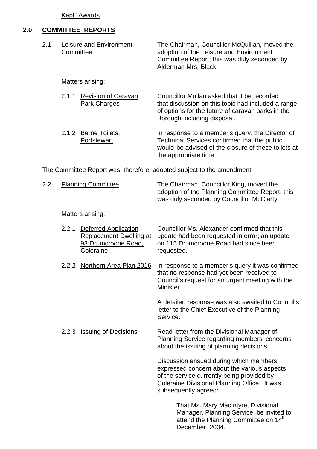Kept" Awards

# **2.0 COMMITTEE REPORTS**

| 2.1 | Leisure and Environment<br>Committee                | The Chairman, Councillor McQuillan, moved the<br>adoption of the Leisure and Environment<br>Committee Report; this was duly seconded by<br>Alderman Mrs. Black.                       |
|-----|-----------------------------------------------------|---------------------------------------------------------------------------------------------------------------------------------------------------------------------------------------|
|     | Matters arising:                                    |                                                                                                                                                                                       |
|     | <b>Revision of Caravan</b><br>2.1.1<br>Park Charges | Councillor Mullan asked that it be recorded<br>that discussion on this topic had included a range<br>of options for the future of caravan parks in the<br>Borough including disposal. |
|     | 2.1.2 Berne Toilets,                                | In response to a member's query, the Director of                                                                                                                                      |

Portstewart **Technical Services confirmed that the public** would be advised of the closure of these toilets at the appropriate time.

The Committee Report was, therefore, adopted subject to the amendment.

| <b>Planning Committee</b> | The Chairman, Councillor King, moved the        |
|---------------------------|-------------------------------------------------|
|                           | adoption of the Planning Committee Report; this |
|                           | was duly seconded by Councillor McClarty.       |

Matters arising:

| 2.2.1 | Deferred Application -<br><b>Replacement Dwelling at</b><br>93 Drumcroone Road,<br><b>Coleraine</b> | Councillor Ms. Alexander confirmed that this<br>update had been requested in error; an update<br>on 115 Drumcroone Road had since been<br>requested.                                                        |
|-------|-----------------------------------------------------------------------------------------------------|-------------------------------------------------------------------------------------------------------------------------------------------------------------------------------------------------------------|
| 2.2.2 | <b>Northern Area Plan 2016</b>                                                                      | In response to a member's query it was confirmed<br>that no response had yet been received to<br>Council's request for an urgent meeting with the<br>Minister.                                              |
|       |                                                                                                     | A detailed response was also awaited to Council's<br>letter to the Chief Executive of the Planning<br>Service.                                                                                              |
| 2.2.3 | <b>Issuing of Decisions</b>                                                                         | Read letter from the Divisional Manager of<br>Planning Service regarding members' concerns<br>about the issuing of planning decisions.                                                                      |
|       |                                                                                                     | Discussion ensued during which members<br>expressed concern about the various aspects<br>of the service currently being provided by<br>Coleraine Divisional Planning Office. It was<br>subsequently agreed: |
|       |                                                                                                     | That Ms. Mary MacIntyre, Divisional<br>Manager, Planning Service, be invited to<br>attend the Planning Committee on 14 <sup>th</sup>                                                                        |

December, 2004.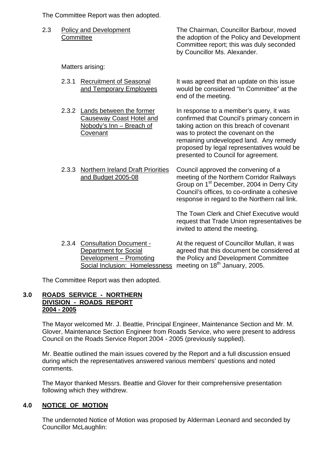The Committee Report was then adopted.

 2.3 Policy and Development The Chairman, Councillor Barbour, moved Committee **the adoption of the Policy and Development**  Committee report; this was duly seconded by Councillor Ms. Alexander.

Matters arising:

- 2.3.1 Recruitment of Seasonal It was agreed that an update on this issue and Temporary Employees would be considered "In Committee" at the end of the meeting.
- 2.3.2 Lands between the former In response to a member's query, it was Causeway Coast Hotel and confirmed that Council's primary concern in Nobody's Inn – Breach of taking action on this breach of covenant Covenant was to protect the covenant on the
	- remaining undeveloped land. Any remedy proposed by legal representatives would be presented to Council for agreement.
- 2.3.3 Northern Ireland Draft Priorities Council approved the convening of a and Budget 2005-08 meeting of the Northern Corridor Railways Group on 1<sup>st</sup> December, 2004 in Derry City Council's offices, to co-ordinate a cohesive response in regard to the Northern rail link.

 The Town Clerk and Chief Executive would request that Trade Union representatives be invited to attend the meeting.

2.3.4 Consultation Document - At the request of Councillor Mullan, it was Department for Social agreed that this document be considered at Development – Promoting the Policy and Development Committee Social Inclusion: Homelessness meeting on 18<sup>th</sup> January, 2005.

The Committee Report was then adopted.

## **3.0 ROADS SERVICE - NORTHERN DIVISION - ROADS REPORT 2004 - 2005**

 The Mayor welcomed Mr. J. Beattie, Principal Engineer, Maintenance Section and Mr. M. Glover, Maintenance Section Engineer from Roads Service, who were present to address Council on the Roads Service Report 2004 - 2005 (previously supplied).

Mr. Beattie outlined the main issues covered by the Report and a full discussion ensued during which the representatives answered various members' questions and noted comments.

The Mayor thanked Messrs. Beattie and Glover for their comprehensive presentation following which they withdrew.

# **4.0 NOTICE OF MOTION**

The undernoted Notice of Motion was proposed by Alderman Leonard and seconded by Councillor McLaughlin: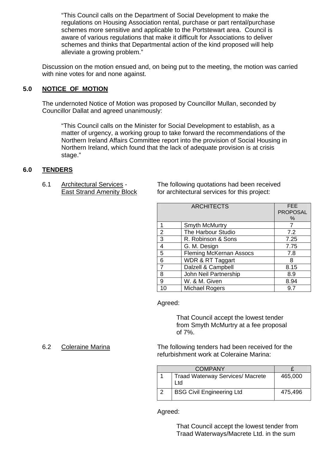"This Council calls on the Department of Social Development to make the regulations on Housing Association rental, purchase or part rental/purchase schemes more sensitive and applicable to the Portstewart area. Council is aware of various regulations that make it difficult for Associations to deliver schemes and thinks that Departmental action of the kind proposed will help alleviate a growing problem."

 Discussion on the motion ensued and, on being put to the meeting, the motion was carried with nine votes for and none against.

## **5.0 NOTICE OF MOTION**

The undernoted Notice of Motion was proposed by Councillor Mullan, seconded by Councillor Dallat and agreed unanimously:

"This Council calls on the Minister for Social Development to establish, as a matter of urgency, a working group to take forward the recommendations of the Northern Ireland Affairs Committee report into the provision of Social Housing in Northern Ireland, which found that the lack of adequate provision is at crisis stage."

## **6.0 TENDERS**

 6.1 Architectural Services - The following quotations had been received East Strand Amenity Block for architectural services for this project:

|                | <b>ARCHITECTS</b>              | <b>FEE</b><br><b>PROPOSAL</b><br>$\%$ |
|----------------|--------------------------------|---------------------------------------|
| 1              | <b>Smyth McMurtry</b>          |                                       |
| $\overline{2}$ | The Harbour Studio             | 7.2                                   |
| 3              | R. Robinson & Sons             | 7.25                                  |
| 4              | G. M. Design                   | 7.75                                  |
| 5              | <b>Fleming McKernan Assocs</b> | 7.8                                   |
| 6              | <b>WDR &amp; RT Taggart</b>    | 8                                     |
| $\overline{7}$ | Dalzell & Campbell             | 8.15                                  |
| 8              | John Neil Partnership          | 8.9                                   |
| 9              | W. & M. Given                  | 8.94                                  |
| 10             | <b>Michael Rogers</b>          | 9.7                                   |

Agreed:

 That Council accept the lowest tender from Smyth McMurtry at a fee proposal of 7%.

6.2 Coleraine Marina The following tenders had been received for the refurbishment work at Coleraine Marina:

| <b>COMPANY</b> |                                                |         |
|----------------|------------------------------------------------|---------|
|                | <b>Traad Waterway Services/ Macrete</b><br>Ltd | 465,000 |
|                | <b>BSG Civil Engineering Ltd</b>               | 475,496 |

Agreed:

 That Council accept the lowest tender from Traad Waterways/Macrete Ltd. in the sum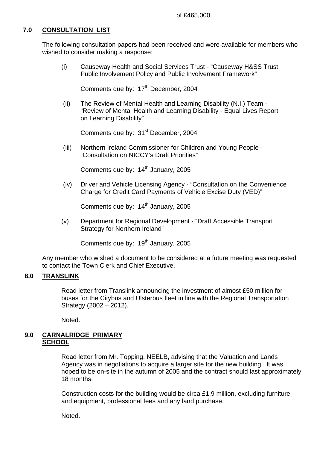## **7.0 CONSULTATION LIST**

 The following consultation papers had been received and were available for members who wished to consider making a response:

(i) Causeway Health and Social Services Trust - "Causeway H&SS Trust Public Involvement Policy and Public Involvement Framework"

Comments due by: 17<sup>th</sup> December, 2004

 (ii) The Review of Mental Health and Learning Disability (N.I.) Team - "Review of Mental Health and Learning Disability - Equal Lives Report on Learning Disability"

Comments due by: 31<sup>st</sup> December, 2004

 (iii) Northern Ireland Commissioner for Children and Young People - "Consultation on NICCY's Draft Priorities"

Comments due by: 14<sup>th</sup> January, 2005

 (iv) Driver and Vehicle Licensing Agency - "Consultation on the Convenience Charge for Credit Card Payments of Vehicle Excise Duty (VED)"

Comments due by: 14<sup>th</sup> January, 2005

(v) Department for Regional Development - "Draft Accessible Transport Strategy for Northern Ireland"

Comments due by: 19<sup>th</sup> January, 2005

Any member who wished a document to be considered at a future meeting was requested to contact the Town Clerk and Chief Executive.

# **8.0 TRANSLINK**

Read letter from Translink announcing the investment of almost £50 million for buses for the Citybus and Ulsterbus fleet in line with the Regional Transportation Strategy (2002 – 2012).

Noted.

## **9.0 CARNALRIDGE PRIMARY SCHOOL**

Read letter from Mr. Topping, NEELB, advising that the Valuation and Lands Agency was in negotiations to acquire a larger site for the new building. It was hoped to be on-site in the autumn of 2005 and the contract should last approximately 18 months.

Construction costs for the building would be circa £1.9 million, excluding furniture and equipment, professional fees and any land purchase.

Noted.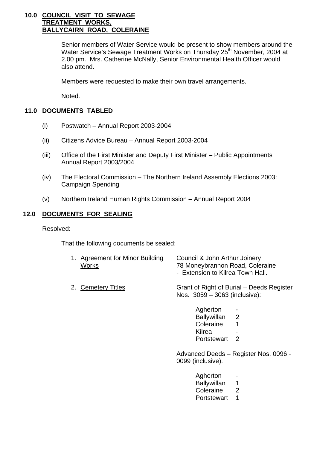#### **10.0 COUNCIL VISIT TO SEWAGE TREATMENT WORKS, BALLYCAIRN ROAD, COLERAINE**

Senior members of Water Service would be present to show members around the Water Service's Sewage Treatment Works on Thursday 25<sup>th</sup> November, 2004 at 2.00 pm. Mrs. Catherine McNally, Senior Environmental Health Officer would also attend.

Members were requested to make their own travel arrangements.

Noted.

# **11.0 DOCUMENTS TABLED**

- (i) Postwatch Annual Report 2003-2004
- (ii) Citizens Advice Bureau Annual Report 2003-2004
- (iii) Office of the First Minister and Deputy First Minister Public Appointments Annual Report 2003/2004
- (iv) The Electoral Commission The Northern Ireland Assembly Elections 2003: Campaign Spending
- (v) Northern Ireland Human Rights Commission Annual Report 2004

# **12.0 DOCUMENTS FOR SEALING**

Resolved:

That the following documents be sealed:

- 1. Agreement for Minor Building Council & John Arthur Joinery Works 78 Moneybrannon Road, Coleraine - Extension to Kilrea Town Hall.
- 2. Cemetery Titles **Grant of Right of Burial** Deeds Register Nos. 3059 – 3063 (inclusive):
- Agherton Ballywillan 2 Coleraine 1 <u>Kilrea dhexe a shekara ta 1979, a shekara ta 1979, a shekara ta 1979, a shekara ta 1979, a shekara ta 1979</u>, a s Portstewart 2

 Advanced Deeds – Register Nos. 0096 - 0099 (inclusive).

| Agherton          | $\sim$ $-$ |
|-------------------|------------|
| Ballywillan 1     |            |
| $O = \frac{1}{2}$ |            |

**Coleraine 2** 2 Portstewart 1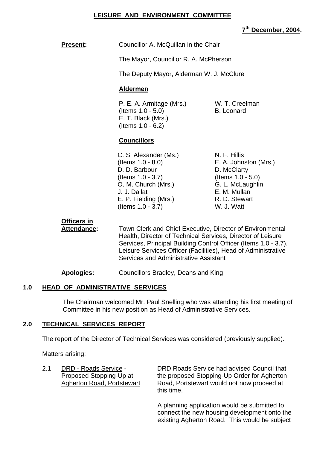## **LEISURE AND ENVIRONMENT COMMITTEE**

**7th December, 2004.** 

# **Present:** Councillor A. McQuillan in the Chair

The Mayor, Councillor R. A. McPherson

The Deputy Mayor, Alderman W. J. McClure

## **Aldermen**

 P. E. A. Armitage (Mrs.) W. T. Creelman  $($ ltems  $1.0 - 5.0)$  B. Leonard E. T. Black (Mrs.) (Items 1.0 - 6.2)

## **Councillors**

C. S. Alexander (Ms.) N. F. Hillis (Items 1.0 - 8.0) E. A. Johnston (Mrs.) D. D. Barbour D. McClarty (Items 1.0 - 3.7) (Items 1.0 - 5.0) O. M. Church (Mrs.) G. L. McLaughlin J. J. Dallat E. M. Mullan E. P. Fielding (Mrs.) R. D. Stewart (Items 1.0 - 3.7) W. J. Watt

# **Officers in**

 **Attendance:** Town Clerk and Chief Executive, Director of Environmental Health, Director of Technical Services, Director of Leisure Services, Principal Building Control Officer (Items 1.0 - 3.7), Leisure Services Officer (Facilities), Head of Administrative Services and Administrative Assistant

**Apologies:** Councillors Bradley, Deans and King

# **1.0 HEAD OF ADMINISTRATIVE SERVICES**

The Chairman welcomed Mr. Paul Snelling who was attending his first meeting of Committee in his new position as Head of Administrative Services.

# **2.0 TECHNICAL SERVICES REPORT**

The report of the Director of Technical Services was considered (previously supplied).

Matters arising:

 2.1 DRD - Roads Service - DRD Roads Service had advised Council that Proposed Stopping-Up at the proposed Stopping-Up Order for Agherton Agherton Road, Portstewart Road, Portstewart would not now proceed at this time.

> A planning application would be submitted to connect the new housing development onto the existing Agherton Road. This would be subject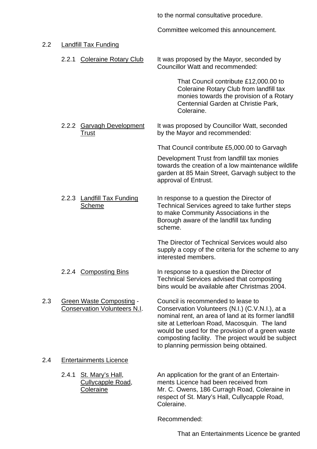to the normal consultative procedure.

Committee welcomed this announcement.

| 2.2 | <b>Landfill Tax Funding</b>                                            |                                                                                                                                                                                                                                                                                                                                                  |
|-----|------------------------------------------------------------------------|--------------------------------------------------------------------------------------------------------------------------------------------------------------------------------------------------------------------------------------------------------------------------------------------------------------------------------------------------|
|     | <b>Coleraine Rotary Club</b><br>2.2.1                                  | It was proposed by the Mayor, seconded by<br><b>Councillor Watt and recommended:</b>                                                                                                                                                                                                                                                             |
|     |                                                                        | That Council contribute £12,000.00 to<br>Coleraine Rotary Club from landfill tax<br>monies towards the provision of a Rotary<br>Centennial Garden at Christie Park,<br>Coleraine.                                                                                                                                                                |
|     | <b>Garvagh Development</b><br>2.2.2<br><u>Trust</u>                    | It was proposed by Councillor Watt, seconded<br>by the Mayor and recommended:                                                                                                                                                                                                                                                                    |
|     |                                                                        | That Council contribute £5,000.00 to Garvagh                                                                                                                                                                                                                                                                                                     |
|     |                                                                        | Development Trust from landfill tax monies<br>towards the creation of a low maintenance wildlife<br>garden at 85 Main Street, Garvagh subject to the<br>approval of Entrust.                                                                                                                                                                     |
|     | 2.2.3 Landfill Tax Funding<br><b>Scheme</b>                            | In response to a question the Director of<br>Technical Services agreed to take further steps<br>to make Community Associations in the<br>Borough aware of the landfill tax funding<br>scheme.                                                                                                                                                    |
|     |                                                                        | The Director of Technical Services would also<br>supply a copy of the criteria for the scheme to any<br>interested members.                                                                                                                                                                                                                      |
|     | 2.2.4 Composting Bins                                                  | In response to a question the Director of<br>Technical Services advised that composting<br>bins would be available after Christmas 2004.                                                                                                                                                                                                         |
| 2.3 | <b>Green Waste Composting -</b><br><b>Conservation Volunteers N.I.</b> | Council is recommended to lease to<br>Conservation Volunteers (N.I.) (C.V.N.I.), at a<br>nominal rent, an area of land at its former landfill<br>site at Letterloan Road, Macosquin. The land<br>would be used for the provision of a green waste<br>composting facility. The project would be subject<br>to planning permission being obtained. |
| 2.4 | <b>Entertainments Licence</b>                                          |                                                                                                                                                                                                                                                                                                                                                  |
|     | St. Mary's Hall,<br>2.4.1<br>Cullycapple Road,<br>Coleraine            | An application for the grant of an Entertain-<br>ments Licence had been received from<br>Mr. C. Owens, 186 Curragh Road, Coleraine in<br>respect of St. Mary's Hall, Cullycapple Road,<br>Coleraine.                                                                                                                                             |

Recommended: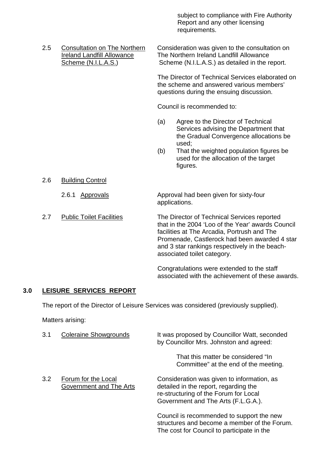subject to compliance with Fire Authority Report and any other licensing requirements.

 2.5 Consultation on The Northern Consideration was given to the consultation on Ireland Landfill Allowance The Northern Ireland Landfill Allowance Scheme (N.I.L.A.S.) Scheme (N.I.L.A.S.) as detailed in the report.

> The Director of Technical Services elaborated on the scheme and answered various members' questions during the ensuing discussion.

Council is recommended to:

- (a) Agree to the Director of Technical Services advising the Department that the Gradual Convergence allocations be used;
- (b) That the weighted population figures be used for the allocation of the target figures.

2.6 Building Control

2.6.1 Approvals Approval had been given for sixty-four applications.

2.7 Public Toilet Facilities The Director of Technical Services reported that in the 2004 'Loo of the Year' awards Council facilities at The Arcadia, Portrush and The Promenade, Castlerock had been awarded 4 star and 3 star rankings respectively in the beachassociated toilet category.

> Congratulations were extended to the staff associated with the achievement of these awards.

# **3.0 LEISURE SERVICES REPORT**

The report of the Director of Leisure Services was considered (previously supplied).

Matters arising:

| 3.1 | <b>Coleraine Showgrounds</b>                   | It was proposed by Councillor Watt, seconded<br>by Councillor Mrs. Johnston and agreed:                                                                             |
|-----|------------------------------------------------|---------------------------------------------------------------------------------------------------------------------------------------------------------------------|
|     |                                                | That this matter be considered "In<br>Committee" at the end of the meeting.                                                                                         |
| 3.2 | Forum for the Local<br>Government and The Arts | Consideration was given to information, as<br>detailed in the report, regarding the<br>re-structuring of the Forum for Local<br>Government and The Arts (F.L.G.A.). |
|     |                                                | Council is recommended to support the new<br>structures and become a member of the Forum.<br>The cost for Council to participate in the                             |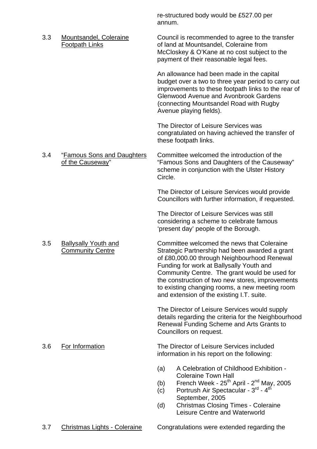re-structured body would be £527.00 per annum.

- 3.3 Mountsandel, Coleraine Council is recommended to agree to the transfer **Footpath Links** of land at Mountsandel, Coleraine from McCloskey & O'Kane at no cost subject to the payment of their reasonable legal fees. An allowance had been made in the capital budget over a two to three year period to carry out improvements to these footpath links to the rear of Glenwood Avenue and Avonbrook Gardens (connecting Mountsandel Road with Rugby Avenue playing fields). The Director of Leisure Services was congratulated on having achieved the transfer of these footpath links. 3.4 "Famous Sons and Daughters Committee welcomed the introduction of the of the Causeway" "Famous Sons and Daughters of the Causeway" scheme in conjunction with the Ulster History Circle. The Director of Leisure Services would provide Councillors with further information, if requested. The Director of Leisure Services was still considering a scheme to celebrate famous 'present day' people of the Borough. 3.5 Ballysally Youth and Committee welcomed the news that Coleraine Community Centre Strategic Partnership had been awarded a grant of £80,000.00 through Neighbourhood Renewal Funding for work at Ballysally Youth and Community Centre. The grant would be used for the construction of two new stores, improvements to existing changing rooms, a new meeting room and extension of the existing I.T. suite. The Director of Leisure Services would supply details regarding the criteria for the Neighbourhood Renewal Funding Scheme and Arts Grants to Councillors on request. 3.6 For Information The Director of Leisure Services included information in his report on the following: (a) A Celebration of Childhood Exhibition - Coleraine Town Hall (b) French Week -  $25<sup>th</sup>$  April -  $2<sup>nd</sup>$  May, 2005  $(c)$  Portrush Air Spectacular - 3<sup>rd</sup> - 4<sup>th</sup> September, 2005 (d) Christmas Closing Times - Coleraine Leisure Centre and Waterworld
- 3.7 Christmas Lights Coleraine Congratulations were extended regarding the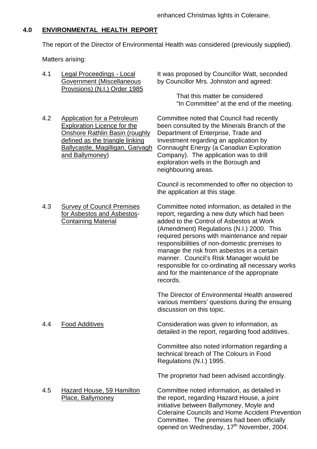# **4.0 ENVIRONMENTAL HEALTH REPORT**

The report of the Director of Environmental Health was considered (previously supplied).

Matters arising:

| 4.1 | <b>Legal Proceedings - Local</b><br><b>Government (Miscellaneous</b><br>Provisions) (N.I.) Order 1985                                                                                                       | It was proposed by Councillor Watt, seconded<br>by Councillor Mrs. Johnston and agreed:<br>That this matter be considered<br>"In Committee" at the end of the meeting.                                                                                                                                                                                                                                                                                                                          |
|-----|-------------------------------------------------------------------------------------------------------------------------------------------------------------------------------------------------------------|-------------------------------------------------------------------------------------------------------------------------------------------------------------------------------------------------------------------------------------------------------------------------------------------------------------------------------------------------------------------------------------------------------------------------------------------------------------------------------------------------|
| 4.2 | <b>Application for a Petroleum</b><br><b>Exploration Licence for the</b><br><b>Onshore Rathlin Basin (roughly</b><br>defined as the triangle linking<br>Ballycastle, Magilligan, Garvagh<br>and Ballymoney) | Committee noted that Council had recently<br>been consulted by the Minerals Branch of the<br>Department of Enterprise, Trade and<br>Investment regarding an application by<br>Connaught Energy (a Canadian Exploration<br>Company). The application was to drill<br>exploration wells in the Borough and<br>neighbouring areas.                                                                                                                                                                 |
|     |                                                                                                                                                                                                             | Council is recommended to offer no objection to<br>the application at this stage.                                                                                                                                                                                                                                                                                                                                                                                                               |
| 4.3 | <b>Survey of Council Premises</b><br>for Asbestos and Asbestos-<br><b>Containing Material</b>                                                                                                               | Committee noted information, as detailed in the<br>report, regarding a new duty which had been<br>added to the Control of Asbestos at Work<br>(Amendment) Regulations (N.I.) 2000. This<br>required persons with maintenance and repair<br>responsibilities of non-domestic premises to<br>manage the risk from asbestos in a certain<br>manner. Council's Risk Manager would be<br>responsible for co-ordinating all necessary works<br>and for the maintenance of the appropriate<br>records. |
|     |                                                                                                                                                                                                             | The Director of Environmental Health answered<br>various members' questions during the ensuing<br>discussion on this topic.                                                                                                                                                                                                                                                                                                                                                                     |
| 4.4 | <b>Food Additives</b>                                                                                                                                                                                       | Consideration was given to information, as<br>detailed in the report, regarding food additives.                                                                                                                                                                                                                                                                                                                                                                                                 |
|     |                                                                                                                                                                                                             | Committee also noted information regarding a<br>technical breach of The Colours in Food<br>Regulations (N.I.) 1995.                                                                                                                                                                                                                                                                                                                                                                             |
|     |                                                                                                                                                                                                             | The proprietor had been advised accordingly.                                                                                                                                                                                                                                                                                                                                                                                                                                                    |
| 4.5 | <b>Hazard House, 59 Hamilton</b><br>Place, Ballymoney                                                                                                                                                       | Committee noted information, as detailed in<br>the report, regarding Hazard House, a joint<br>initiative between Ballymoney, Moyle and<br><b>Coleraine Councils and Home Accident Prevention</b><br>Committee. The premises had been officially<br>opened on Wednesday, 17 <sup>th</sup> November, 2004.                                                                                                                                                                                        |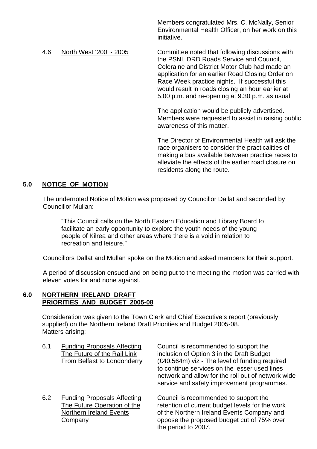Members congratulated Mrs. C. McNally, Senior Environmental Health Officer, on her work on this initiative.

 4.6 North West '200' - 2005 Committee noted that following discussions with the PSNI, DRD Roads Service and Council, Coleraine and District Motor Club had made an application for an earlier Road Closing Order on Race Week practice nights. If successful this would result in roads closing an hour earlier at 5.00 p.m. and re-opening at 9.30 p.m. as usual.

> The application would be publicly advertised. Members were requested to assist in raising public awareness of this matter.

The Director of Environmental Health will ask the race organisers to consider the practicalities of making a bus available between practice races to alleviate the effects of the earlier road closure on residents along the route.

# **5.0 NOTICE OF MOTION**

The undernoted Notice of Motion was proposed by Councillor Dallat and seconded by Councillor Mullan:

 "This Council calls on the North Eastern Education and Library Board to facilitate an early opportunity to explore the youth needs of the young people of Kilrea and other areas where there is a void in relation to recreation and leisure."

Councillors Dallat and Mullan spoke on the Motion and asked members for their support.

A period of discussion ensued and on being put to the meeting the motion was carried with eleven votes for and none against.

## **6.0 NORTHERN IRELAND DRAFT PRIORITIES AND BUDGET 2005-08**

 Consideration was given to the Town Clerk and Chief Executive's report (previously supplied) on the Northern Ireland Draft Priorities and Budget 2005-08. Matters arising:

 6.1 Funding Proposals Affecting Council is recommended to support the The Future of the Rail Link inclusion of Option 3 in the Draft Budget From Belfast to Londonderry (£40.564m) viz - The level of funding required to continue services on the lesser used lines network and allow for the roll out of network wide service and safety improvement programmes. 6.2 Funding Proposals Affecting Council is recommended to support the The Future Operation of the retention of current budget levels for the work Northern Ireland Events of the Northern Ireland Events Company and Company oppose the proposed budget cut of 75% over

the period to 2007.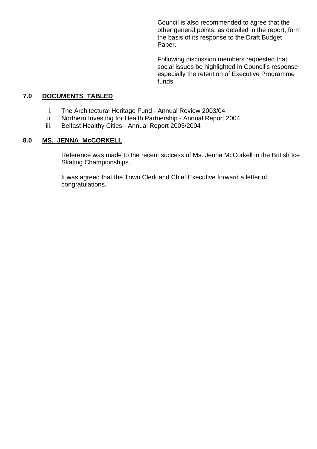Council is also recommended to agree that the other general points, as detailed in the report, form the basis of its response to the Draft Budget Paper.

Following discussion members requested that social issues be highlighted in Council's response especially the retention of Executive Programme funds.

## **7.0 DOCUMENTS TABLED**

- i. The Architectural Heritage Fund Annual Review 2003/04
- ii. Northern Investing for Health Partnership Annual Report 2004
- iii. Belfast Healthy Cities Annual Report 2003/2004

## **8.0 MS. JENNA McCORKELL**

Reference was made to the recent success of Ms. Jenna McCorkell in the British Ice Skating Championships.

 It was agreed that the Town Clerk and Chief Executive forward a letter of congratulations.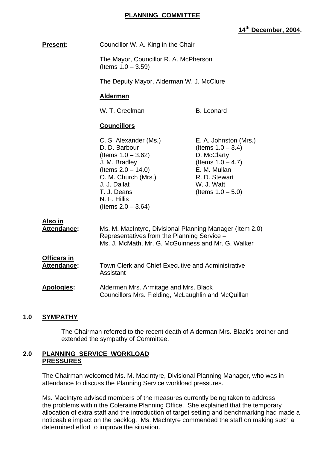## **PLANNING COMMITTEE**

# **14th December, 2004.**

**Present:** Councillor W. A. King in the Chair

 The Mayor, Councillor R. A. McPherson (Items 1.0 – 3.59)

The Deputy Mayor, Alderman W. J. McClure

## **Aldermen**

W. T. Creelman B. Leonard

## **Councillors**

 C. S. Alexander (Ms.) E. A. Johnston (Mrs.) D. D. Barbour (Items  $1.0 - 3.4$ )  $($ ltems  $1.0 - 3.62)$  D. McClarty J. M. Bradley (Items  $1.0 - 4.7$ ) (Items 2.0 – 14.0) E. M. Mullan O. M. Church (Mrs.) R. D. Stewart J. J. Dallat W. J. Watt T. J. Deans (Items  $1.0 - 5.0$ ) N. F. Hillis (Items 2.0 – 3.64)

**Also in**

| Attendance:                              | Ms. M. MacIntyre, Divisional Planning Manager (Item 2.0)<br>Representatives from the Planning Service -<br>Ms. J. McMath, Mr. G. McGuinness and Mr. G. Walker |
|------------------------------------------|---------------------------------------------------------------------------------------------------------------------------------------------------------------|
| <b>Officers in</b><br><b>Attendance:</b> | Town Clerk and Chief Executive and Administrative<br>Assistant                                                                                                |
| <b>Apologies:</b>                        | Aldermen Mrs. Armitage and Mrs. Black<br>Councillors Mrs. Fielding, McLaughlin and McQuillan                                                                  |

## **1.0 SYMPATHY**

 The Chairman referred to the recent death of Alderman Mrs. Black's brother and extended the sympathy of Committee.

## **2.0 PLANNING SERVICE WORKLOAD PRESSURES**

 The Chairman welcomed Ms. M. MacIntyre, Divisional Planning Manager, who was in attendance to discuss the Planning Service workload pressures.

 Ms. MacIntyre advised members of the measures currently being taken to address the problems within the Coleraine Planning Office. She explained that the temporary allocation of extra staff and the introduction of target setting and benchmarking had made a noticeable impact on the backlog. Ms. MacIntyre commended the staff on making such a determined effort to improve the situation.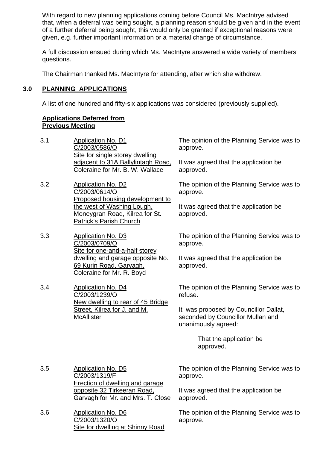With regard to new planning applications coming before Council Ms. MacIntrye advised that, when a deferral was being sought, a planning reason should be given and in the event of a further deferral being sought, this would only be granted if exceptional reasons were given, e.g. further important information or a material change of circumstance.

A full discussion ensued during which Ms. MacIntyre answered a wide variety of members' questions.

The Chairman thanked Ms. MacIntyre for attending, after which she withdrew.

# **3.0 PLANNING APPLICATIONS**

A list of one hundred and fifty-six applications was considered (previously supplied).

# **Applications Deferred from Previous Meeting**

- 3.1 Application No. D1 C/2003/0586/O Site for single storey dwelling adjacent to 31A Ballylintagh Road, Coleraine for Mr. B. W. Wallace approve.
	- 3.2 Application No. D2 C/2003/0614/O Proposed housing development to the west of Washing Lough, Moneygran Road, Kilrea for St. Patrick's Parish Church
	- 3.3 Application No. D3 C/2003/0709/O Site for one-and-a-half storey dwelling and garage opposite No. 69 Kurin Road, Garvagh, Coleraine for Mr. R. Boyd
	- 3.4 Application No. D4 C/2003/1239/O New dwelling to rear of 45 Bridge Street, Kilrea for J. and M. **McAllister**

The opinion of the Planning Service was to

It was agreed that the application be approved.

The opinion of the Planning Service was to approve.

It was agreed that the application be approved.

The opinion of the Planning Service was to approve.

It was agreed that the application be approved.

The opinion of the Planning Service was to refuse.

It was proposed by Councillor Dallat, seconded by Councillor Mullan and unanimously agreed:

> That the application be approved.

- 3.5 Application No. D5 C/2003/1319/F Erection of dwelling and garage opposite 32 Tirkeeran Road, Garvagh for Mr. and Mrs. T. Close
- 3.6 Application No. D6 C/2003/1320/O Site for dwelling at Shinny Road

The opinion of the Planning Service was to approve.

It was agreed that the application be approved.

The opinion of the Planning Service was to approve.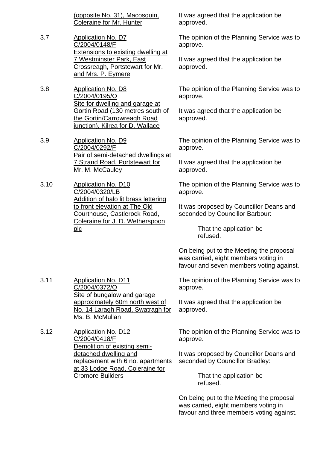(opposite No. 31), Macosquin, Coleraine for Mr. Hunter

- 3.7 Application No. D7 C/2004/0148/F Extensions to existing dwelling at 7 Westminster Park, East Crossreagh, Portstewart for Mr. and Mrs. P. Eymere
- 3.8 Application No. D8 C/2004/0195/O Site for dwelling and garage at Gortin Road (130 metres south of the Gortin/Carrowreagh Road junction), Kilrea for D. Wallace

3.9 Application No. D9 C/2004/0292/F Pair of semi-detached dwellings at 7 Strand Road, Portstewart for Mr. M. McCauley

3.10 Application No. D10 C/2004/0320/LB Addition of halo lit brass lettering to front elevation at The Old Courthouse, Castlerock Road, Coleraine for J. D. Wetherspoon plc

It was agreed that the application be approved.

The opinion of the Planning Service was to approve.

It was agreed that the application be approved.

The opinion of the Planning Service was to approve.

It was agreed that the application be approved.

The opinion of the Planning Service was to approve.

It was agreed that the application be approved.

The opinion of the Planning Service was to approve.

It was proposed by Councillor Deans and seconded by Councillor Barbour:

> That the application be refused.

On being put to the Meeting the proposal was carried, eight members voting in favour and seven members voting against.

The opinion of the Planning Service was to approve.

It was agreed that the application be approved.

The opinion of the Planning Service was to approve.

It was proposed by Councillor Deans and seconded by Councillor Bradley:

> That the application be refused.

On being put to the Meeting the proposal was carried, eight members voting in favour and three members voting against.

3.11 Application No. D11 C/2004/0372/O Site of bungalow and garage approximately 60m north west of No. 14 Laragh Road, Swatragh for Ms. B. McMullan

3.12 Application No. D12 C/2004/0418/F Demolition of existing semidetached dwelling and replacement with 6 no. apartments at 33 Lodge Road, Coleraine for Cromore Builders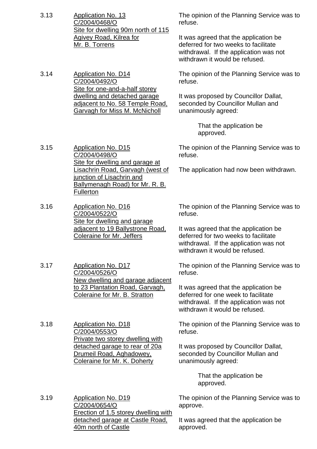3.13 Application No. 13 C/2004/0468/O Site for dwelling 90m north of 115 Agivey Road, Kilrea for Mr. B. Torrens

> Site for one-and-a-half storey dwelling and detached garage adjacent to No. 58 Temple Road, Garvagh for Miss M. McNicholl

3.14 Application No. D14

C/2004/0492/O

The opinion of the Planning Service was to refuse.

It was agreed that the application be deferred for two weeks to facilitate withdrawal. If the application was not withdrawn it would be refused.

The opinion of the Planning Service was to refuse.

It was proposed by Councillor Dallat, seconded by Councillor Mullan and unanimously agreed:

> That the application be approved.

The opinion of the Planning Service was to refuse.

The application had now been withdrawn.

- 3.15 Application No. D15 C/2004/0498/O Site for dwelling and garage at Lisachrin Road, Garvagh (west of junction of Lisachrin and Ballymenagh Road) for Mr. R. B. **Fullerton**
- 3.16 Application No. D16 C/2004/0522/O Site for dwelling and garage adjacent to 19 Ballystrone Road, Coleraine for Mr. Jeffers
- 3.17 Application No. D17 C/2004/0526/O New dwelling and garage adjacent to 23 Plantation Road, Garvagh, Coleraine for Mr. B. Stratton

3.18 Application No. D18 C/2004/0553/O Private two storey dwelling with detached garage to rear of 20a Drumeil Road, Aghadowey, Coleraine for Mr. K. Doherty

3.19 Application No. D19 C/2004/0654/O Erection of 1.5 storey dwelling with detached garage at Castle Road, 40m north of Castle

The opinion of the Planning Service was to refuse.

It was agreed that the application be deferred for two weeks to facilitate withdrawal. If the application was not withdrawn it would be refused.

The opinion of the Planning Service was to refuse.

It was agreed that the application be deferred for one week to facilitate withdrawal. If the application was not withdrawn it would be refused.

The opinion of the Planning Service was to refuse.

It was proposed by Councillor Dallat, seconded by Councillor Mullan and unanimously agreed:

> That the application be approved.

The opinion of the Planning Service was to approve.

It was agreed that the application be approved.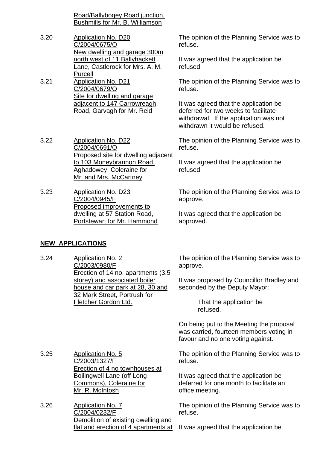Road/Ballybogey Road junction, Bushmills for Mr. B. Williamson

- 3.20 Application No. D20 C/2004/0675/O New dwelling and garage 300m north west of 11 Ballyhackett Lane, Castlerock for Mrs. A. M. Purcell 3.21 Application No. D21 C/2004/0679/O Site for dwelling and garage adjacent to 147 Carrowreagh Road, Garvagh for Mr. Reid
- 3.22 Application No. D22 C/2004/0691/O Proposed site for dwelling adjacent to 103 Moneybrannon Road, Aghadowey, Coleraine for Mr. and Mrs. McCartney
- 3.23 Application No. D23 C/2004/0945/F Proposed improvements to dwelling at 57 Station Road, Portstewart for Mr. Hammond

# **NEW APPLICATIONS**

3.24 Application No. 2 C/2003/0980/F Erection of 14 no. apartments (3.5 storey) and associated boiler house and car park at 28, 30 and 32 Mark Street, Portrush for Fletcher Gordon Ltd.

The opinion of the Planning Service was to refuse.

It was agreed that the application be refused.

The opinion of the Planning Service was to refuse.

It was agreed that the application be deferred for two weeks to facilitate withdrawal. If the application was not withdrawn it would be refused.

The opinion of the Planning Service was to refuse.

It was agreed that the application be refused.

The opinion of the Planning Service was to approve.

It was agreed that the application be approved.

The opinion of the Planning Service was to approve.

It was proposed by Councillor Bradley and seconded by the Deputy Mayor:

> That the application be refused.

On being put to the Meeting the proposal was carried, fourteen members voting in favour and no one voting against.

3.25 Application No. 5 C/2003/1327/F Erection of 4 no townhouses at Boilingwell Lane (off Long Commons), Coleraine for Mr. R. McIntosh

3.26 Application No. 7 C/2004/0232/F Demolition of existing dwelling and flat and erection of 4 apartments at The opinion of the Planning Service was to refuse.

It was agreed that the application be deferred for one month to facilitate an office meeting.

The opinion of the Planning Service was to refuse.

It was agreed that the application be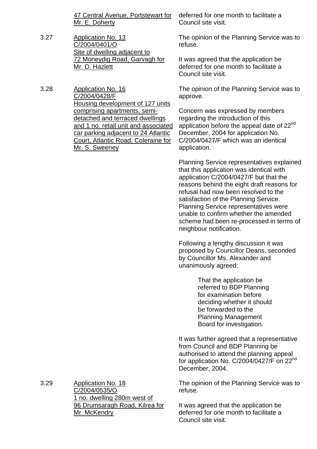47 Central Avenue, Portstewart for Mr. E. Doherty

3.27 Application No. 13 C/2004/0401/O Site of dwelling adjacent to 72 Moneydig Road, Garvagh for Mr. D. Hazlett

3.28 Application No. 16 C/2004/0428/F Housing development of 127 units comprising apartments, semidetached and terraced dwellings and 1 no. retail unit and associated car parking adjacent to 24 Atlantic Court, Atlantic Road, Coleraine for Mr. S. Sweeney

deferred for one month to facilitate a Council site visit.

The opinion of the Planning Service was to refuse.

It was agreed that the application be deferred for one month to facilitate a Council site visit.

The opinion of the Planning Service was to approve.

Concern was expressed by members regarding the introduction of this application before the appeal date of 22<sup>nd</sup> December, 2004 for application No. C/2004/0427/F which was an identical application.

Planning Service representatives explained that this application was identical with application C/2004/0427/F but that the reasons behind the eight draft reasons for refusal had now been resolved to the satisfaction of the Planning Service. Planning Service representatives were unable to confirm whether the amended scheme had been re-processed in terms of neighbour notification.

Following a lengthy discussion it was proposed by Councillor Deans, seconded by Councillor Ms. Alexander and unanimously agreed:

> That the application be referred to BDP Planning for examination before deciding whether it should be forwarded to the Planning Management Board for investigation.

It was further agreed that a representative from Council and BDP Planning be authorised to attend the planning appeal for application No. C/2004/0427/F on 22<sup>nd</sup> December, 2004.

The opinion of the Planning Service was to refuse.

It was agreed that the application be deferred for one month to facilitate a Council site visit.

3.29 Application No. 18 C/2004/0535/O 1 no. dwelling 280m west of 96 Drumsaragh Road, Kilrea for Mr. McKendry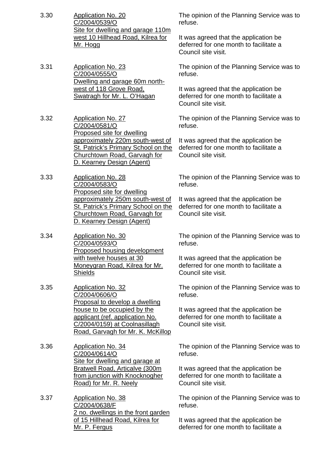| 3.30 | <b>Application No. 20</b><br>C/2004/0539/O<br>Site for dwelling and garage 110m<br>west 10 Hillhead Road, Kilrea for<br>Mr. Hogg                                                                                     | ľ<br>$\overline{\phantom{a}}$<br>$\mathsf{C}$<br>( |
|------|----------------------------------------------------------------------------------------------------------------------------------------------------------------------------------------------------------------------|----------------------------------------------------|
| 3.31 | <b>Application No. 23</b><br>C/2004/0555/O<br>Dwelling and garage 60m north-<br>west of 118 Grove Road,<br><b>Swatragh for Mr. L. O'Hagan</b>                                                                        | ľ<br>I<br>$\mathsf{C}$<br>(                        |
| 3.32 | <b>Application No. 27</b><br>C/2004/0581/O<br>Proposed site for dwelling<br>approximately 220m south-west of<br>St. Patrick's Primary School on the<br>Churchtown Road, Garvagh for<br>D. Kearney Design (Agent)     | ľ<br>I<br>$\mathbf C$<br>(                         |
| 3.33 | <b>Application No. 28</b><br>C/2004/0583/O<br>Proposed site for dwelling<br>approximately 250m south-west of<br>St. Patrick's Primary School on the<br>Churchtown Road, Garvagh for<br>D. Kearney Design (Agent)     | ľ<br>I<br>$\mathbf C$<br>(                         |
| 3.34 | Application No. 30<br>C/2004/0593/O<br>Proposed housing development<br>with twelve houses at 30<br>Moneygran Road, Kilrea for Mr.<br><b>Shields</b>                                                                  | r<br>O                                             |
| 3.35 | <b>Application No. 32</b><br>C/2004/0606/O<br>Proposal to develop a dwelling<br>house to be occupied by the<br>applicant (ref. application No.<br>C/2004/0159) at Coolnasillagh<br>Road, Garvagh for Mr. K. McKillop | ľ<br>C                                             |
| 3.36 | Application No. 34<br>C/2004/0614/O<br>Site for dwelling and garage at<br>Bratwell Road, Articalve (300m<br>from junction with Knocknogher<br>Road) for Mr. R. Neely                                                 | ľ<br>I<br>C<br>(                                   |
| 3.37 | <b>Application No. 38</b><br>C/2004/0638/F<br>2 no. dwellings in the front garden<br>of 15 Hillhead Road, Kilrea for<br>Mr. P. Fergus                                                                                | ľ<br>C                                             |

The opinion of the Planning Service was to refuse.

It was agreed that the application be deferred for one month to facilitate a Council site visit.

The opinion of the Planning Service was to refuse.

It was agreed that the application be deferred for one month to facilitate a Council site visit.

The opinion of the Planning Service was to refuse.

It was agreed that the application be deferred for one month to facilitate a Council site visit.

The opinion of the Planning Service was to refuse.

It was agreed that the application be deferred for one month to facilitate a Council site visit.

The opinion of the Planning Service was to refuse.

It was agreed that the application be deferred for one month to facilitate a Council site visit.

The opinion of the Planning Service was to refuse.

It was agreed that the application be deferred for one month to facilitate a Council site visit.

The opinion of the Planning Service was to refuse.

t was agreed that the application be deferred for one month to facilitate a Council site visit.

The opinion of the Planning Service was to refuse.

It was agreed that the application be deferred for one month to facilitate a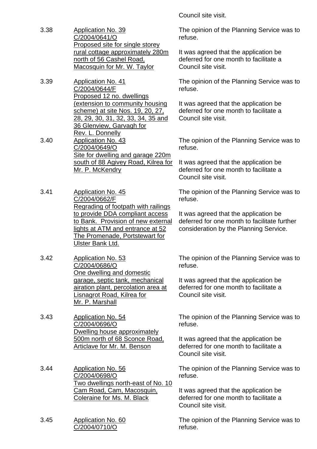| 3.38 | Application No. 39<br>C/2004/0641/O |
|------|-------------------------------------|
|      |                                     |
|      | Proposed site for single storey     |
|      | rural cottage approximately 280m    |
|      | north of 56 Cashel Road,            |
|      | Macosquin for Mr. W. Taylor         |
| 3.39 | <b>Application No. 41</b>           |
|      |                                     |
|      | C/2004/0644/F                       |

Proposed 12 no. dwellings (extension to community housing scheme) at site Nos. 19, 20, 27, 28, 29, 30, 31, 32, 33, 34, 35 and 36 Glenview, Garvagh for Rev. L. Donnelly 3.40 Application No. 43 C/2004/0649/O Site for dwelling and garage 220m south of 88 Agivey Road, Kilrea for Mr. P. McKendry

- 3.41 Application No. 45 C/2004/0662/F Regrading of footpath with railings to provide DDA compliant access to Bank. Provision of new external lights at ATM and entrance at 52 The Promenade, Portstewart for Ulster Bank Ltd.
- 3.42 Application No. 53 C/2004/0686/O One dwelling and domestic garage, septic tank, mechanical airation plant, percolation area at Lisnagrot Road, Kilrea for Mr. P. Marshall
- 3.43 Application No. 54 C/2004/0696/O Dwelling house approximately 500m north of 68 Sconce Road, Articlave for Mr. M. Benson
- 3.44 Application No. 56 C/2004/0698/O Two dwellings north-east of No. 10 Cam Road, Cam, Macosquin, Coleraine for Ms. M. Black
- 3.45 Application No. 60 C/2004/0710/O

Council site visit.

The opinion of the Planning Service was to refuse.

It was agreed that the application be deferred for one month to facilitate a Council site visit.

The opinion of the Planning Service was to refuse.

It was agreed that the application be deferred for one month to facilitate a Council site visit.

The opinion of the Planning Service was to refuse.

It was agreed that the application be deferred for one month to facilitate a Council site visit.

The opinion of the Planning Service was to refuse.

It was agreed that the application be deferred for one month to facilitate further consideration by the Planning Service.

The opinion of the Planning Service was to refuse.

It was agreed that the application be deferred for one month to facilitate a Council site visit.

The opinion of the Planning Service was to refuse.

It was agreed that the application be deferred for one month to facilitate a Council site visit.

The opinion of the Planning Service was to refuse.

It was agreed that the application be deferred for one month to facilitate a Council site visit.

The opinion of the Planning Service was to refuse.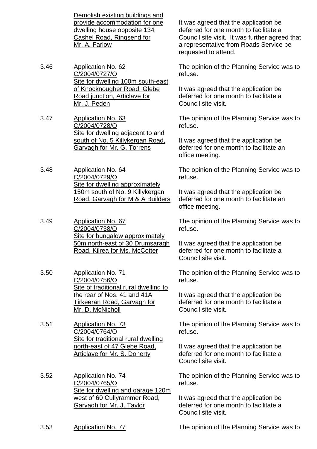Demolish existing buildings and provide accommodation for one dwelling house opposite 134 Cashel Road, Ringsend for Mr. A. Farlow

- 3.46 Application No. 62 C/2004/0727/O Site for dwelling 100m south-east of Knocknougher Road, Glebe Road junction, Articlave for Mr. J. Peden
- 3.47 Application No. 63 C/2004/0728/O Site for dwelling adjacent to and south of No. 5 Killykergan Road, Garvagh for Mr. G. Torrens

3.48 Application No. 64 C/2004/0729/O Site for dwelling approximately 150m south of No. 9 Killykergan Road, Garvagh for M & A Builders

3.49 Application No. 67 C/2004/0738/O Site for bungalow approximately 50m north-east of 30 Drumsaragh Road, Kilrea for Ms. McCotter

- 3.50 Application No. 71 C/2004/0756/O Site of traditional rural dwelling to the rear of Nos. 41 and 41A Tirkeeran Road, Garvagh for Mr. D. McNicholl
- 3.51 Application No. 73 C/2004/0764/O Site for traditional rural dwelling north-east of 47 Glebe Road, Articlave for Mr. S. Doherty

3.52 Application No. 74 C/2004/0765/O Site for dwelling and garage 120m west of 60 Cullyrammer Road, Garvagh for Mr. J. Taylor

It was agreed that the application be deferred for one month to facilitate a Council site visit. It was further agreed that a representative from Roads Service be requested to attend.

The opinion of the Planning Service was to refuse.

It was agreed that the application be deferred for one month to facilitate a Council site visit.

The opinion of the Planning Service was to refuse.

It was agreed that the application be deferred for one month to facilitate an office meeting.

The opinion of the Planning Service was to refuse.

It was agreed that the application be deferred for one month to facilitate an office meeting.

The opinion of the Planning Service was to refuse.

It was agreed that the application be deferred for one month to facilitate a Council site visit.

The opinion of the Planning Service was to refuse.

It was agreed that the application be deferred for one month to facilitate a Council site visit.

The opinion of the Planning Service was to refuse.

It was agreed that the application be deferred for one month to facilitate a Council site visit.

The opinion of the Planning Service was to refuse.

It was agreed that the application be deferred for one month to facilitate a Council site visit.

3.53 Application No. 77 The opinion of the Planning Service was to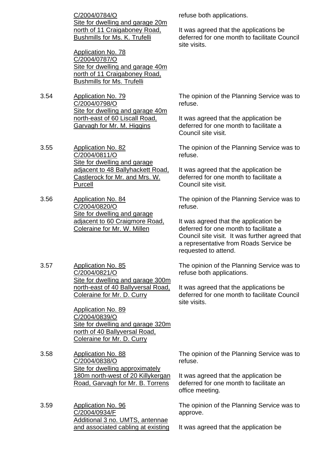C/2004/0784/O Site for dwelling and garage 20m north of 11 Craigaboney Road, Bushmills for Ms. K. Trufelli

Application No. 78 C/2004/0787/O Site for dwelling and garage 40m north of 11 Craigaboney Road, Bushmills for Ms. Trufelli

- 3.54 Application No. 79 C/2004/0798/O Site for dwelling and garage 40m north-east of 60 Liscall Road, Garvagh for Mr. M. Higgins
- 3.55 Application No. 82 C/2004/0811/O Site for dwelling and garage adjacent to 48 Ballyhackett Road, Castlerock for Mr. and Mrs. W. Purcell
- 3.56 Application No. 84 C/2004/0820/O Site for dwelling and garage adjacent to 60 Craigmore Road, Coleraine for Mr. W. Millen
- 3.57 Application No. 85 C/2004/0821/O Site for dwelling and garage 300m north-east of 40 Ballyversal Road, Coleraine for Mr. D. Curry

Application No. 89 C/2004/0839/O Site for dwelling and garage 320m north of 40 Ballyversal Road, Coleraine for Mr. D. Curry

- 3.58 Application No. 88 C/2004/0838/O Site for dwelling approximately 180m north-west of 20 Killykergan Road, Garvagh for Mr. B. Torrens
- 3.59 Application No. 96 C/2004/0934/F Additional 3 no. UMTS, antennae and associated cabling at existing

refuse both applications.

It was agreed that the applications be deferred for one month to facilitate Council site visits.

The opinion of the Planning Service was to refuse.

It was agreed that the application be deferred for one month to facilitate a Council site visit.

The opinion of the Planning Service was to refuse.

It was agreed that the application be deferred for one month to facilitate a Council site visit.

The opinion of the Planning Service was to refuse.

It was agreed that the application be deferred for one month to facilitate a Council site visit. It was further agreed that a representative from Roads Service be requested to attend.

The opinion of the Planning Service was to refuse both applications.

It was agreed that the applications be deferred for one month to facilitate Council site visits.

The opinion of the Planning Service was to refuse.

It was agreed that the application be deferred for one month to facilitate an office meeting.

The opinion of the Planning Service was to approve.

It was agreed that the application be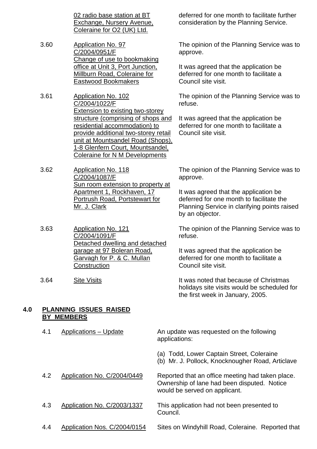02 radio base station at BT Exchange, Nursery Avenue, Coleraine for O2 (UK) Ltd.

- 3.60 Application No. 97 C/2004/0951/F Change of use to bookmaking office at Unit 3, Port Junction, Millburn Road, Coleraine for Eastwood Bookmakers
- 3.61 Application No. 102 C/2004/1022/F Extension to existing two-storey structure (comprising of shops and residential accommodation) to provide additional two-storey retail unit at Mountsandel Road (Shops), 1-8 Glenfern Court, Mountsandel, Coleraine for N M Developments
- 3.62 Application No. 118 C/2004/1087/F Sun room extension to property at Apartment 1, Rockhaven, 17 Portrush Road, Portstewart for Mr. J. Clark
- 3.63 Application No. 121 C/2004/1091/F Detached dwelling and detached garage at 97 Boleran Road, Garvagh for P. & C. Mullan **Construction**
- 

## **4.0 PLANNING ISSUES RAISED BY MEMBERS**

4.1 Applications – Update An update was requested on the following applications: (a) Todd, Lower Captain Street, Coleraine (b) Mr. J. Pollock, Knocknougher Road, Articlave 4.2 Application No. C/2004/0449 Reported that an office meeting had taken place. Ownership of lane had been disputed. Notice would be served on applicant. 4.3 Application No. C/2003/1337 This application had not been presented to Council. 4.4 Application Nos. C/2004/0154 Sites on Windyhill Road, Coleraine. Reported that

deferred for one month to facilitate further consideration by the Planning Service.

The opinion of the Planning Service was to approve.

It was agreed that the application be deferred for one month to facilitate a Council site visit.

The opinion of the Planning Service was to refuse.

It was agreed that the application be deferred for one month to facilitate a Council site visit.

The opinion of the Planning Service was to approve.

It was agreed that the application be deferred for one month to facilitate the Planning Service in clarifying points raised by an objector.

The opinion of the Planning Service was to refuse.

It was agreed that the application be deferred for one month to facilitate a Council site visit.

3.64 Site Visits It was noted that because of Christmas holidays site visits would be scheduled for the first week in January, 2005.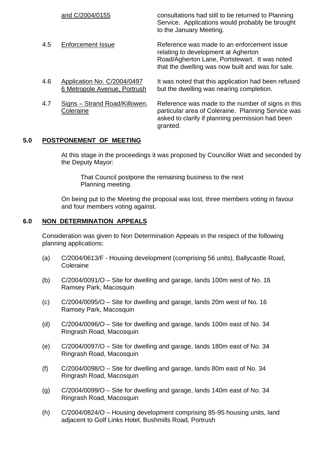|     | and C/2004/0155                                             | consultations had still to be returned to Planning<br>Service. Applications would probably be brought<br>to the January Meeting.                                                        |
|-----|-------------------------------------------------------------|-----------------------------------------------------------------------------------------------------------------------------------------------------------------------------------------|
| 4.5 | <b>Enforcement Issue</b>                                    | Reference was made to an enforcement issue<br>relating to development at Agherton<br>Road/Agherton Lane, Portstewart. It was noted<br>that the dwelling was now built and was for sale. |
| 4.6 | Application No. C/2004/0497<br>6 Metropole Avenue, Portrush | It was noted that this application had been refused<br>but the dwelling was nearing completion.                                                                                         |
| 4.7 | Signs – Strand Road/Killowen,<br>Coleraine                  | Reference was made to the number of signs in this<br>particular area of Coleraine. Planning Service was                                                                                 |

granted.

## **5.0 POSTPONEMENT OF MEETING**

 At this stage in the proceedings it was proposed by Councillor Watt and seconded by the Deputy Mayor:

asked to clarify if planning permission had been

 That Council postpone the remaining business to the next Planning meeting.

 On being put to the Meeting the proposal was lost, three members voting in favour and four members voting against.

#### **6.0 NON DETERMINATION APPEALS**

Consideration was given to Non Determination Appeals in the respect of the following planning applications:

- (a) C/2004/0613/F Housing development (comprising 56 units), Ballycastle Road, Coleraine
- (b) C/2004/0091/O Site for dwelling and garage, lands 100m west of No. 16 Ramsey Park, Macosquin
- $(C)$  C/2004/0095/O Site for dwelling and garage, lands 20m west of No. 16 Ramsey Park, Macosquin
- (d) C/2004/0096/O Site for dwelling and garage, lands 100m east of No. 34 Ringrash Road, Macosquin
- (e) C/2004/0097/O Site for dwelling and garage, lands 180m east of No. 34 Ringrash Road, Macosquin
- (f) C/2004/0098/O Site for dwelling and garage, lands 80m east of No. 34 Ringrash Road, Macosquin
- $(g)$  C/2004/0099/O Site for dwelling and garage, lands 140m east of No. 34 Ringrash Road, Macosquin
- (h) C/2004/0824/O Housing development comprising 85-95 housing units, land adjacent to Golf Links Hotel, Bushmills Road, Portrush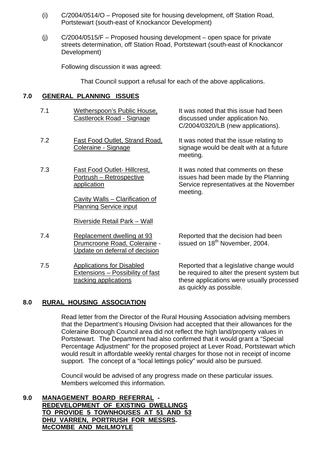- (i) C/2004/0514/O Proposed site for housing development, off Station Road, Portstewart (south-east of Knockancor Development)
- (j) C/2004/0515/F Proposed housing development open space for private streets determination, off Station Road, Portstewart (south-east of Knockancor Development)

Following discussion it was agreed:

That Council support a refusal for each of the above applications.

## **7.0 GENERAL PLANNING ISSUES**

| 7.1 | Wetherspoon's Public House,<br>Castlerock Road - Signage                                      | It was noted that this issue had been<br>discussed under application No.<br>C/2004/0320/LB (new applications).                       |
|-----|-----------------------------------------------------------------------------------------------|--------------------------------------------------------------------------------------------------------------------------------------|
| 7.2 | Fast Food Outlet, Strand Road,<br>Coleraine - Signage                                         | It was noted that the issue relating to<br>signage would be dealt with at a future<br>meeting.                                       |
| 7.3 | <b>Fast Food Outlet- Hillcrest,</b><br>Portrush - Retrospective<br>application                | It was noted that comments on these<br>issues had been made by the Planning<br>Service representatives at the November<br>meeting.   |
|     | Cavity Walls – Clarification of<br>Planning Service input<br>Riverside Retail Park - Wall     |                                                                                                                                      |
|     |                                                                                               |                                                                                                                                      |
| 7.4 | Replacement dwelling at 93<br>Drumcroone Road, Coleraine -<br>Update on deferral of decision  | Reported that the decision had been<br>issued on 18 <sup>th</sup> November, 2004.                                                    |
| 7.5 | <b>Applications for Disabled</b><br>Extensions – Possibility of fast<br>tracking applications | Reported that a legislative change would<br>be required to alter the present system but<br>these applications were usually processed |

# **8.0 RURAL HOUSING ASSOCIATION**

 Read letter from the Director of the Rural Housing Association advising members that the Department's Housing Division had accepted that their allowances for the Coleraine Borough Council area did not reflect the high land/property values in Portstewart. The Department had also confirmed that it would grant a "Special Percentage Adjustment" for the proposed project at Lever Road, Portstewart which would result in affordable weekly rental charges for those not in receipt of income support. The concept of a "local lettings policy" would also be pursued.

as quickly as possible.

Council would be advised of any progress made on these particular issues. Members welcomed this information.

**9.0 MANAGEMENT BOARD REFERRAL - REDEVELOPMENT OF EXISTING DWELLINGS TO PROVIDE 5 TOWNHOUSES AT 51 AND 53 DHU VARREN, PORTRUSH FOR MESSRS. McCOMBE AND McILMOYLE**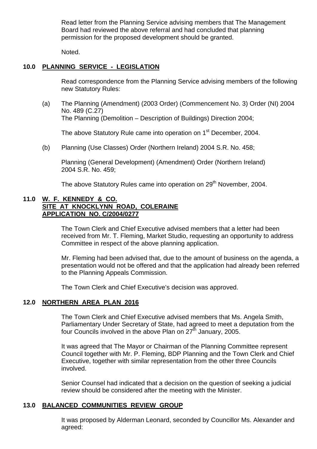Read letter from the Planning Service advising members that The Management Board had reviewed the above referral and had concluded that planning permission for the proposed development should be granted.

Noted.

## **10.0 PLANNING SERVICE - LEGISLATION**

 Read correspondence from the Planning Service advising members of the following new Statutory Rules:

 (a) The Planning (Amendment) (2003 Order) (Commencement No. 3) Order (NI) 2004 No. 489 (C.27) The Planning (Demolition – Description of Buildings) Direction 2004;

The above Statutory Rule came into operation on 1<sup>st</sup> December, 2004.

(b) Planning (Use Classes) Order (Northern Ireland) 2004 S.R. No. 458;

 Planning (General Development) (Amendment) Order (Northern Ireland) 2004 S.R. No. 459;

The above Statutory Rules came into operation on 29<sup>th</sup> November, 2004.

## **11.0 W. F. KENNEDY & CO. SITE AT KNOCKLYNN ROAD, COLERAINE APPLICATION NO. C/2004/0277**

 The Town Clerk and Chief Executive advised members that a letter had been received from Mr. T. Fleming, Market Studio, requesting an opportunity to address Committee in respect of the above planning application.

 Mr. Fleming had been advised that, due to the amount of business on the agenda, a presentation would not be offered and that the application had already been referred to the Planning Appeals Commission.

The Town Clerk and Chief Executive's decision was approved.

## **12.0 NORTHERN AREA PLAN 2016**

 The Town Clerk and Chief Executive advised members that Ms. Angela Smith, Parliamentary Under Secretary of State, had agreed to meet a deputation from the four Councils involved in the above Plan on  $27<sup>th</sup>$  January, 2005.

 It was agreed that The Mayor or Chairman of the Planning Committee represent Council together with Mr. P. Fleming, BDP Planning and the Town Clerk and Chief Executive, together with similar representation from the other three Councils involved.

 Senior Counsel had indicated that a decision on the question of seeking a judicial review should be considered after the meeting with the Minister.

## **13.0 BALANCED COMMUNITIES REVIEW GROUP**

 It was proposed by Alderman Leonard, seconded by Councillor Ms. Alexander and agreed: